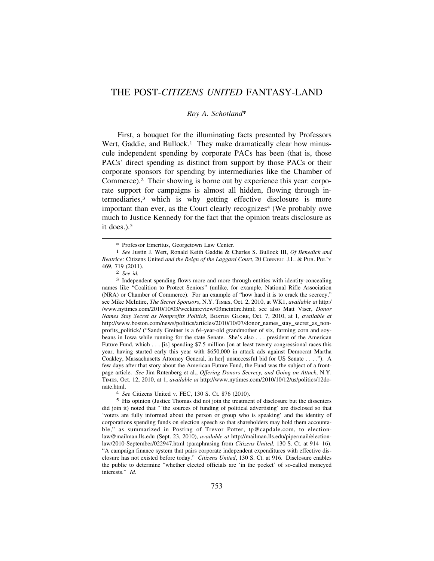## THE POST-*CITIZENS UNITED* FANTASY-LAND

## *Roy A. Schotland*\*

First, a bouquet for the illuminating facts presented by Professors Wert, Gaddie, and Bullock.<sup>1</sup> They make dramatically clear how minuscule independent spending by corporate PACs has been (that is, those PACs' direct spending as distinct from support by those PACs or their corporate sponsors for spending by intermediaries like the Chamber of Commerce).2 Their showing is borne out by experience this year: corporate support for campaigns is almost all hidden, flowing through intermediaries,3 which is why getting effective disclosure is more important than ever, as the Court clearly recognizes<sup>4</sup> (We probably owe much to Justice Kennedy for the fact that the opinion treats disclosure as it does.).5

<sup>\*</sup> Professor Emeritus, Georgetown Law Center. 1 *See* Justin J. Wert, Ronald Keith Gaddie & Charles S. Bullock III, *Of Benedick and Beatrice:* Citizens United *and the Reign of the Laggard Court*, 20 CORNELL J.L. & PUB. POL'Y 469, 719 (2011). 2 *See id.* 3 Independent spending flows more and more through entities with identity-concealing

names like "Coalition to Protect Seniors" (unlike, for example, National Rifle Association (NRA) or Chamber of Commerce). For an example of "how hard it is to crack the secrecy," see Mike McIntire, *The Secret Sponsors*, N.Y. TIMES, Oct. 2, 2010, at WK1, *available at* http:/ [/www.nytimes.com/2010/10/03/weekinreview/03mcintire.html;](www.nytimes.com/2010/10/03/weekinreview/03mcintire.html) see also Matt Viser, *Donor Names Stay Secret as Nonprofits Politick*, BOSTON GLOBE, Oct. 7, 2010, at 1, *available at*  [http://www.boston.com/news/politics/articles/2010/10/07/donor\\_names\\_stay\\_secret\\_as\\_non](http://www.boston.com/news/politics/articles/2010/10/07/donor_names_stay_secret_as_non)profits politick/ ("Sandy Greiner is a 64-year-old grandmother of six, farming corn and soybeans in Iowa while running for the state Senate. She's also . . . president of the American Future Fund, which . . . [is] spending \$7.5 million [on at least twenty congressional races this year, having started early this year with \$650,000 in attack ads against Democrat Martha Coakley, Massachusetts Attorney General, in her] unsuccessful bid for US Senate . . . ."). A few days after that story about the American Future Fund, the Fund was the subject of a frontpage article. *See* Jim Rutenberg et al., *Offering Donors Secrecy, and Going on Attack*, N.Y. TIMES, Oct. 12, 2010, at 1, *available at* <http://www.nytimes.com/2010/10/12/us/politics/12do>nate.html. 4 *See* Citizens United v. FEC, 130 S. Ct. 876 (2010).

<sup>5</sup> His opinion (Justice Thomas did not join the treatment of disclosure but the dissenters did join it) noted that "'the sources of funding of political advertising' are disclosed so that 'voters are fully informed about the person or group who is speaking' and the identity of corporations spending funds on election speech so that shareholders may hold them accountable," as summarized in Posting of Trevor Potter, [tp@capdale.com](mailto:tp@capdale.com), to election[law@mailman.lls.edu](mailto:law@mailman.lls.edu) (Sept. 23, 2010), *available at* <http://mailman.lls.edu/pipermail/election>law/2010-September/022947.html (paraphrasing from *Citizens United*, 130 S. Ct. at 914–16). "A campaign finance system that pairs corporate independent expenditures with effective disclosure has not existed before today." *Citizens United*, 130 S. Ct. at 916. Disclosure enables the public to determine "whether elected officials are 'in the pocket' of so-called moneyed interests." *Id.*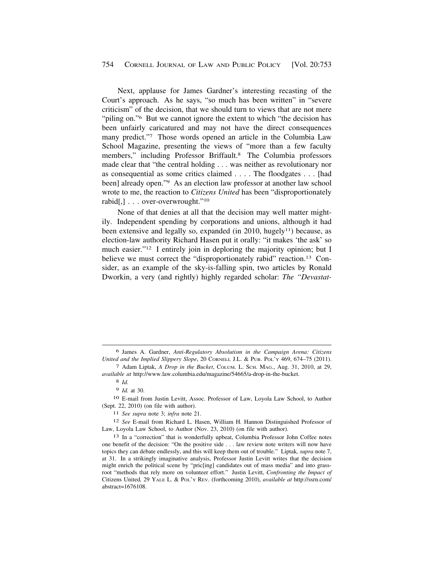Next, applause for James Gardner's interesting recasting of the Court's approach. As he says, "so much has been written" in "severe criticism" of the decision, that we should turn to views that are not mere "piling on."<sup>6</sup> But we cannot ignore the extent to which "the decision has been unfairly caricatured and may not have the direct consequences many predict."7 Those words opened an article in the Columbia Law School Magazine, presenting the views of "more than a few faculty members," including Professor Briffault.8 The Columbia professors made clear that "the central holding . . . was neither as revolutionary nor as consequential as some critics claimed . . . . The floodgates . . . [had been] already open."<sup>9</sup> As an election law professor at another law school wrote to me, the reaction to *Citizens United* has been "disproportionately rabid[,] . . . over-overwrought."10

None of that denies at all that the decision may well matter mightily. Independent spending by corporations and unions, although it had been extensive and legally so, expanded (in 2010, hugely<sup>11</sup>) because, as election-law authority Richard Hasen put it orally: "it makes 'the ask' so much easier."<sup>12</sup> I entirely join in deploring the majority opinion; but I believe we must correct the "disproportionately rabid" reaction.<sup>13</sup> Consider, as an example of the sky-is-falling spin, two articles by Ronald Dworkin, a very (and rightly) highly regarded scholar: *The "Devastat-*

<sup>6</sup> James A. Gardner, *Anti-Regulatory Absolutism in the Campaign Arena: Citizens United and the Implied Slippery Slope*, 20 CORNELL J.L. & PUB. POL'Y 469, 674–75 (2011).

<sup>7</sup> Adam Liptak, *A Drop in the Bucket*, COLUM. L. SCH. MAG., Aug. 31, 2010, at 29, *available at* [http://www.law.columbia.edu/magazine/54665/a-drop-in-the-bucket.](http://www.law.columbia.edu/magazine/54665/a-drop-in-the-bucket)

<sup>8</sup> *Id.* 

<sup>9</sup> *Id.* at 30.

<sup>10</sup> E-mail from Justin Levitt, Assoc. Professor of Law, Loyola Law School, to Author (Sept. 22, 2010) (on file with author).

<sup>11</sup> *See supra* note 3; *infra* note 21.

<sup>12</sup> *See* E-mail from Richard L. Hasen, William H. Hannon Distinguished Professor of Law, Loyola Law School, to Author (Nov. 23, 2010) (on file with author).

<sup>13</sup> In a "correction" that is wonderfully upbeat, Columbia Professor John Coffee notes one benefit of the decision: "On the positive side . . . law review note writers will now have topics they can debate endlessly, and this will keep them out of trouble." Liptak*, supra* note 7, at 31. In a strikingly imaginative analysis, Professor Justin Levitt writes that the decision might enrich the political scene by "pric[ing] candidates out of mass media" and into grassroot "methods that rely more on volunteer effort." Justin Levitt, *Confronting the Impact of*  Citizens United*,* 29 YALE L. & POL'Y REV. (forthcoming 2010), *available at* [http://ssrn.com/](http://ssrn.com) abstract=1676108.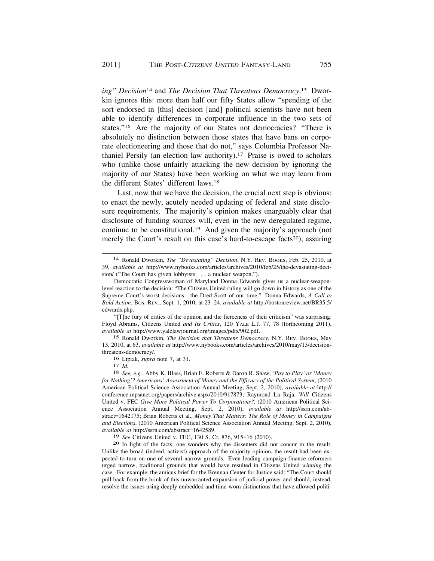*ing" Decision*14 and *The Decision That Threatens [Democracy](https://Democracy.15)*. 15 Dworkin ignores this: more than half our fifty States allow "spending of the sort endorsed in [this] decision [and] political scientists have not been able to identify differences in corporate influence in the two sets of states."<sup>16</sup> Are the majority of our States not democracies? "There is absolutely no distinction between those states that have bans on corporate electioneering and those that do not," says Columbia Professor Nathaniel Persily (an election law [authority\).17](https://authority).17) Praise is owed to scholars who (unlike those unfairly attacking the new decision by ignoring the majority of our States) have been working on what we may learn from the different States' different laws.18

Last, now that we have the decision, the crucial next step is obvious: to enact the newly, acutely needed updating of federal and state disclosure requirements. The majority's opinion makes unarguably clear that disclosure of funding sources will, even in the new deregulated regime, continue to be [constitutional.19](https://constitutional.19) And given the majority's approach (not merely the Court's result on this case's hard-to-escape facts<sup>20</sup>), assuring

"[T]he fury of critics of the opinion and the fierceness of their criticism" was surprising. Floyd Abrams, Citizens United *and Its Critics*, 120 YALE L.J. 77, 78 (forthcoming 2011), *available at* <http://www.yalelawjournal.org/images/pdfs/902.pdf>.

15 Ronald Dworkin, *The Decision that Threatens Democracy*, N.Y. REV. BOOKS, May 13, 2010, at 63, *available at* <http://www.nybooks.com/articles/archives/2010/may/13/decision>threatens-democracy/.

16 Liptak, *supra* note 7, at 31. 17 *Id.* 18 *See, e.g.*, Abby K. Blass, Brian E. Roberts & Daron R. Shaw, *'Pay to Play' or 'Money for Nothing'? Americans' Assessment of Money and the Efficacy of the Political System*, (2010 American Political Science Association Annual Meeting, Sept. 2, 2010), *available at* http:// [conference.mpsanet.org/papers/archive.aspx/2010/917873](https://conference.mpsanet.org/papers/archive.aspx/2010/917873); Raymond La Raja, *Will* Citizens United v. FEC *Give More Political Power To Corporations?*, (2010 American Political Science Association Annual Meeting, Sept. 2, 2010), *available at* <http://ssrn.com/ab>stract=1642175; Brian Roberts et al., *Money That Matters: The Role of Money in Campaigns and Elections*, (2010 American Political Science Association Annual Meeting, Sept. 2, 2010), *available at* <http://ssrn.com/abstract=1642589>.

<sup>19</sup>*See* Citizens United v. FEC, 130 S. Ct. 876, 915–16 (2010). 20 In light of the facts, one wonders why the dissenters did not concur in the result. Unlike the broad (indeed, activist) approach of the majority opinion, the result had been expected to turn on one of several narrow grounds. Even leading campaign-finance reformers urged narrow, traditional grounds that would have resulted in Citizens United *winning* the case. For example, the amicus brief for the Brennan Center for Justice said: "The Court should pull back from the brink of this unwarranted expansion of judicial power and should, instead, resolve the issues using deeply embedded and time-worn distinctions that have allowed politi-

<sup>14</sup> Ronald Dworkin, *The "Devastating" Decision*, N.Y. REV. BOOKS, Feb. 25, 2010, at 39, *available at* <http://www.nybooks.com/articles/archives/2010/feb/25/the-devastating-deci>sion/ ("The Court has given lobbyists . . . a nuclear weapon.").

Democratic Congresswoman of Maryland Donna Edwards gives us a nuclear-weaponlevel reaction to the decision: "The Citizens United ruling will go down in history as one of the Supreme Court's worst decisions—the Dred Scott of our time." Donna Edwards, *A Call to Bold Action*, BOS. REV., Sept. 1, 2010, at 23–24, *available at* [http://bostonreview.net/BR35.5/](http://bostonreview.net/BR35.5) edwards.php.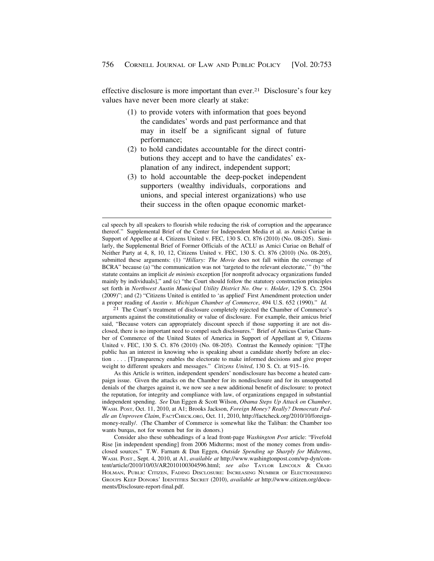effective disclosure is more important than ever.21 Disclosure's four key values have never been more clearly at stake:

- (1) to provide voters with information that goes beyond the candidates' words and past performance and that may in itself be a significant signal of future performance;
- (2) to hold candidates accountable for the direct contributions they accept and to have the candidates' explanation of any indirect, independent support;
- (3) to hold accountable the deep-pocket independent supporters (wealthy individuals, corporations and unions, and special interest organizations) who use their success in the often opaque economic market-

arguments against the constitutionality or value of disclosure. For example, their amicus brief said, "Because voters can appropriately discount speech if those supporting it are not disclosed, there is no important need to compel such disclosures." Brief of Amicus Curiae Chamber of Commerce of the United States of America in Support of Appellant at 9, Citizens United v. FEC, 130 S. Ct. 876 (2010) (No. 08-205). Contrast the Kennedy opinion: "[T]he public has an interest in knowing who is speaking about a candidate shortly before an election . . . . [T]ransparency enables the electorate to make informed decisions and give proper weight to different speakers and messages." *Citizens United*, 130 S. Ct. at 915–16.

As this Article is written, independent spenders' nondisclosure has become a heated campaign issue. Given the attacks on the Chamber for its nondisclosure and for its unsupported denials of the charges against it, we now see a new additional benefit of disclosure: to protect the reputation, for integrity and compliance with law, of organizations engaged in substantial independent spending. *See* Dan Eggen & Scott Wilson, *Obama Steps Up Attack on Chamber*, WASH. POST, Oct. 11, 2010, at A1; Brooks Jackson, *Foreign Money? Really? Democrats Peddle an Unproven Claim*, [FACTCHECK.ORG](https://FACTCHECK.ORG), Oct. 11, 2010, <http://factcheck.org/2010/10/foreign>money-really/. (The Chamber of Commerce is somewhat like the Taliban: the Chamber too wants burqas, not for women but for its donors.)

Consider also these subheadings of a lead front-page *Washington Post* article: "Fivefold Rise [in independent spending] from 2006 Midterms; most of the money comes from undisclosed sources." T.W. Farnam & Dan Eggen, *Outside Spending up Sharply for Midterms*, WASH. POST., Sept. 4, 2010, at A1, *available at* <http://www.washingtonpost.com/wp-dyn/con>tent/article/2010/10/03/AR2010100304596.html; *see also* TAYLOR LINCOLN & CRAIG HOLMAN, PUBLIC CITIZEN, FADING DISCLOSURE: INCREASING NUMBER OF ELECTIONEERING GROUPS KEEP DONORS' IDENTITIES SECRET (2010), *available at* <http://www.citizen.org/docu>ments/Disclosure-report-final.pdf.

cal speech by all speakers to flourish while reducing the risk of corruption and the appearance thereof." Supplemental Brief of the Center for Independent Media et al. as Amici Curiae in Support of Appellee at 4, Citizens United v. FEC, 130 S. Ct. 876 (2010) (No. 08-205). Similarly, the Supplemental Brief of Former Officials of the ACLU as Amici Curiae on Behalf of Neither Party at 4, 8, 10, 12, Citizens United v. FEC, 130 S. Ct. 876 (2010) (No. 08-205), submitted these arguments: (1) "*Hillary: The Movie* does not fall within the coverage of BCRA" because (a) "the communication was not 'targeted to the relevant electorate,'" (b) "the statute contains an implicit *de minimis* exception [for nonprofit advocacy organizations funded mainly by individuals]," and (c) "the Court should follow the statutory construction principles set forth in *Northwest Austin Municipal Utility District No. One v. Holder*, 129 S. Ct. 2504 (2009)"; and (2) "Citizens United is entitled to 'as applied' First Amendment protection under a proper reading of *Austin v. Michigan Chamber of Commerce*, 494 U.S. 652 (1990)." *Id.* 21 The Court's treatment of disclosure completely rejected the Chamber of Commerce's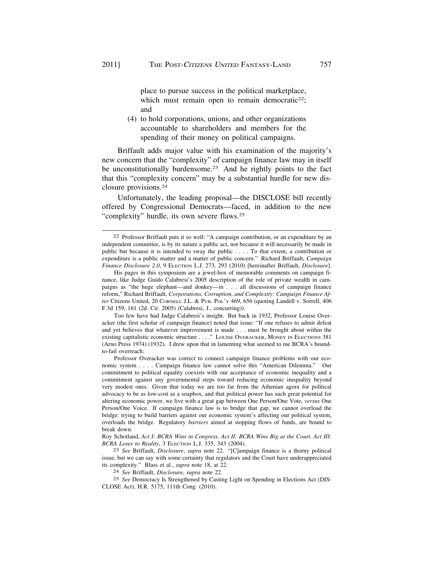place to pursue success in the political marketplace, which must remain open to remain democratic<sup>22</sup>; and

(4) to hold corporations, unions, and other organizations accountable to shareholders and members for the spending of their money on political campaigns.

Briffault adds major value with his examination of the majority's new concern that the "complexity" of campaign finance law may in itself be unconstitutionally burdensome.<sup>23</sup> And he rightly points to the fact that this "complexity concern" may be a substantial hurdle for new disclosure [provisions.24](https://provisions.24)

Unfortunately, the leading proposal—the DISCLOSE bill recently offered by Congressional Democrats—faced, in addition to the new "complexity" hurdle, its own severe [flaws.25](https://flaws.25)

His pages in this symposium are a jewel-box of memorable comments on campaign finance, like Judge Guido Calabresi's 2005 description of the role of private wealth in campaigns as "the huge elephant—and donkey—in . . . all discussions of campaign finance reform," Richard Briffault, *Corporations, Corruption, and Complexity: Campaign Finance After* Citizens United, 20 CORNELL J.L. & PUB. POL'Y 469, 656 (quoting Landell v. Sorrell, 406 F.3d 159, 161 (2d. Cir. 2005) (Calabresi, J., concurring)).

Too few have had Judge Calabresi's insight. But back in 1932, Professor Louise Overacker (the first scholar of campaign finance) noted that issue: "If one refuses to admit defeat and yet believes that whatever improvement is made . . . must be brought about within the existing capitalistic economic structure . . . ." LOUISE OVERACKER, MONEY IN ELECTIONS 381 (Arno Press 1974) (1932). I drew upon that in lamenting what seemed to me BCRA's boundto-fail overreach:

Professor Overacker was correct to connect campaign finance problems with our economic system . . . . Campaign finance law cannot solve this "American Dilemma." Our commitment to political equality coexists with our acceptance of economic inequality and a commitment against any governmental steps toward reducing economic inequality beyond very modest ones. Given that today we are too far from the Athenian agora for political advocacy to be as low-cost as a soapbox, and that political power has such great potential for altering economic power, we live with a great gap between One Person/One Vote, *versus* One Person/One Voice. If campaign finance law is to bridge that gap, we cannot overload the bridge: trying to build barriers against our economic system's affecting our political system, overloads the bridge. Regulatory *barriers* aimed at stopping flows of funds, are bound to break down.

Roy Schotland, *Act I: BCRA Wins in Congress. Act II: BCRA Wins Big at the Court. Act III: BCRA Loses to Reality*, 3 ELECTION L.J. 335, 343 (2004). 23 *See* Briffault, *Disclosure*, *supra* note 22. "[C]ampaign finance is a thorny political

issue, but we can say with some certainty that regulators and the Court have underappreciated its complexity." Blass et al., *supra* note 18, at 22.

its complexity." Blass et al., *supra* note 18, at 22. 24 *See* Briffault, *Disclosure*, *supra* note 22.

25 *See* Democracy Is Strengthened by Casting Light on Spending in Elections Act (DIS-CLOSE Act), H.R. 5175, 111th Cong. (2010).

<sup>22</sup> Professor Briffault puts it so well: "A campaign contribution, or an expenditure by an independent committee, is by its nature a public act, not because it will necessarily be made in public but because it is intended to sway the public . . . . To that extent, a contribution or expenditure is a public matter and a matter of public concern." Richard Briffault, *Campaign Finance Disclosure 2.0*, 9 ELECTION L.J. 273, 293 (2010) [hereinafter Briffault, *Disclosure*].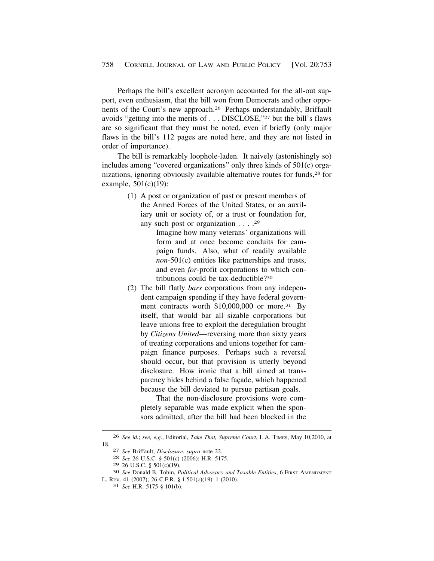Perhaps the bill's excellent acronym accounted for the all-out support, even enthusiasm, that the bill won from Democrats and other opponents of the Court's new [approach.26](https://approach.26) Perhaps understandably, Briffault avoids "getting into the merits of . . . DISCLOSE,"27 but the bill's flaws are so significant that they must be noted, even if briefly (only major flaws in the bill's 112 pages are noted here, and they are not listed in order of importance).

The bill is remarkably loophole-laden. It naively (astonishingly so) includes among "covered organizations" only three kinds of 501(c) organizations, ignoring obviously available alternative routes for funds,<sup>28</sup> for example, 501(c)(19):

> (1) A post or organization of past or present members of the Armed Forces of the United States, or an auxiliary unit or society of, or a trust or foundation for, any such post or organization . . . .29

> > Imagine how many veterans' organizations will form and at once become conduits for campaign funds. Also, what of readily available *non*-501(c) entities like partnerships and trusts, and even *for*-profit corporations to which contributions could be tax-deductible?30

(2) The bill flatly *bars* corporations from any independent campaign spending if they have federal government contracts worth \$10,000,000 or more.<sup>31</sup> By itself, that would bar all sizable corporations but leave unions free to exploit the deregulation brought by *Citizens United*—reversing more than sixty years of treating corporations and unions together for campaign finance purposes. Perhaps such a reversal should occur, but that provision is utterly beyond disclosure. How ironic that a bill aimed at transparency hides behind a false façade, which happened because the bill deviated to pursue partisan goals.

That the non-disclosure provisions were completely separable was made explicit when the sponsors admitted, after the bill had been blocked in the

<sup>26</sup> *See id.*; *see, e.g.*, Editorial, *Take That, Supreme Court*, L.A. TIMES, May 10,2010, at

<sup>18. 27</sup> *See* Briffault, *Disclosure*, *supra* note 22. 28 *See* 26 U.S.C. § 501(c) (2006); H.R. 5175.

<sup>29 26</sup> U.S.C. § 501(c)(19). 30 *See* Donald B. Tobin, *Political Advocacy and Taxable Entities*, 6 FIRST AMENDMENT L. REV. 41 (2007); 26 C.F.R. § 1.501(c)(19)–1 (2010). 31 *See* H.R. 5175 § 101(b).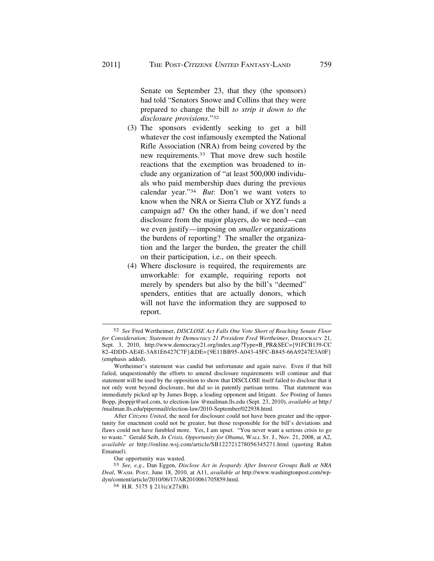Senate on September 23, that they (the sponsors) had told "Senators Snowe and Collins that they were prepared to change the bill *to strip it down to the disclosure provisions*."32

- (3) The sponsors evidently seeking to get a bill whatever the cost infamously exempted the National Rifle Association (NRA) from being covered by the new [requirements.33](https://requirements.33) That move drew such hostile reactions that the exemption was broadened to include any organization of "at least 500,000 individuals who paid membership dues during the previous calendar year."34 *But*: Don't we want voters to know when the NRA or Sierra Club or XYZ funds a campaign ad? On the other hand, if we don't need disclosure from the major players, do we need—can we even justify—imposing on *smaller* organizations the burdens of reporting? The smaller the organization and the larger the burden, the greater the chill on their participation, i.e., on their speech.
- (4) Where disclosure is required, the requirements are unworkable: for example, requiring reports not merely by spenders but also by the bill's "deemed" spenders, entities that are actually donors, which will not have the information they are supposed to report.

After *Citizens United*, the need for disclosure could not have been greater and the opportunity for enactment could not be greater, but those responsible for the bill's deviations and flaws could not have fumbled more. Yes, I am upset. "You never want a serious crisis to go to waste." Gerald Seib, *In Crisis, Opportunity for Obama*, WALL ST. J., Nov. 21, 2008, at A2, *available at* <http://online.wsj.com/article/SB122721278056345271.html>(quoting Rahm Emanuel).

Our opportunity was wasted.

33 *See, e.g.*, Dan Eggen, *Disclose Act in Jeopardy After Interest Groups Balk at NRA Deal*, WASH. POST, June 18, 2010, at A11, *available at* <http://www.washingtonpost.com/wp>dyn/content/article/2010/06/17/AR2010061705859.html. 34 H.R. 5175 § 211(c)(27)(B).

<sup>32</sup> *See* Fred Wertheimer, *DISCLOSE Act Falls One Vote Short of Reaching Senate Floor for Consideration; Statement by Democracy 21 President Fred Wertheimer*, DEMOCRACY 21, Sept. 3, 2010, [http://www.democracy21.org/index.asp?Type=B\\_PR&SEC=](http://www.democracy21.org/index.asp?Type=B_PR&SEC={91FCB139-CC){91FCB139-CC 82-4DDD-AE4E-3A81E6427C7F}&DE={9E11BB95-A043-45FC-B845-66A9247E3A0F} (emphasis added).

Wertheimer's statement was candid but unfortunate and again naive. Even if that bill failed, unquestionably the efforts to amend disclosure requirements will continue and that statement will be used by the opposition to show that DISCLOSE itself failed to disclose that it not only went beyond disclosure, but did so in patently partisan terms. That statement was immediately picked up by James Bopp, a leading opponent and litigant. *See* Posting of James Bopp, [jboppjr@aol.com](mailto:jboppjr@aol.com), to election-law [@mailman.lls.edu](https://mailman.lls.edu) (Sept. 23, 2010), *available at* http:/ [/mailman.lls.edu/pipermail/election-law/2010-September/022938.html](https://mailman.lls.edu/pipermail/election-law/2010-September/022938.html).